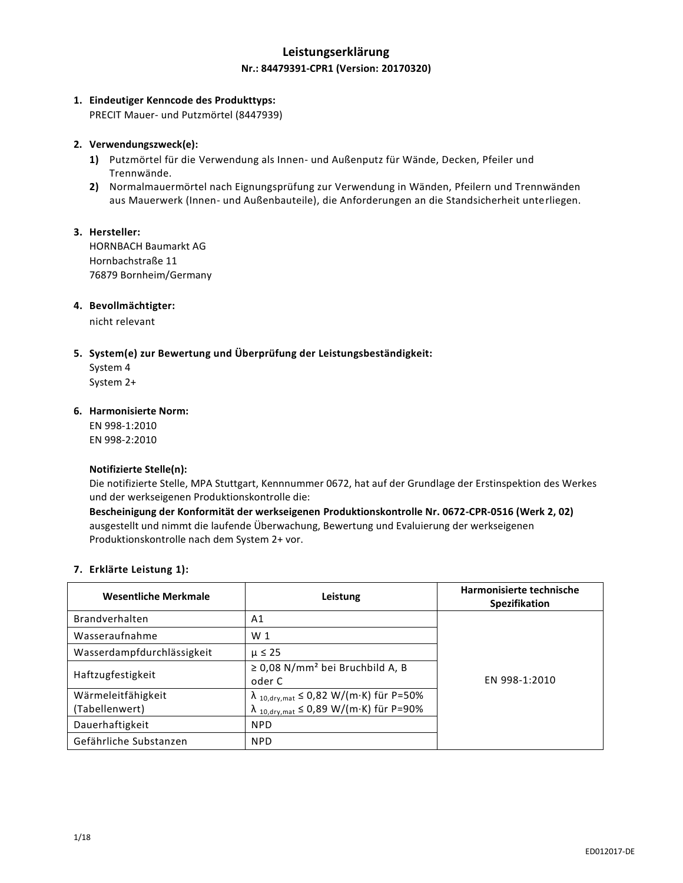## **Leistungserklärung Nr.: 84479391-CPR1 (Version: 20170320)**

### **1. Eindeutiger Kenncode des Produkttyps:**

PRECIT Mauer- und Putzmörtel (8447939)

### **2. Verwendungszweck(e):**

- **1)** Putzmörtel für die Verwendung als Innen- und Außenputz für Wände, Decken, Pfeiler und Trennwände.
- **2)** Normalmauermörtel nach Eignungsprüfung zur Verwendung in Wänden, Pfeilern und Trennwänden aus Mauerwerk (Innen- und Außenbauteile), die Anforderungen an die Standsicherheit unterliegen.

### **3. Hersteller:**

HORNBACH Baumarkt AG Hornbachstraße 11 76879 Bornheim/Germany

### **4. Bevollmächtigter:**

nicht relevant

### **5. System(e) zur Bewertung und Überprüfung der Leistungsbeständigkeit:**

System 4 System 2+

## **6. Harmonisierte Norm:**

EN 998-1:2010 EN 998-2:2010

### **Notifizierte Stelle(n):**

Die notifizierte Stelle, MPA Stuttgart, Kennnummer 0672, hat auf der Grundlage der Erstinspektion des Werkes und der werkseigenen Produktionskontrolle die:

**Bescheinigung der Konformität der werkseigenen Produktionskontrolle Nr. 0672-CPR-0516 (Werk 2, 02)** ausgestellt und nimmt die laufende Überwachung, Bewertung und Evaluierung der werkseigenen Produktionskontrolle nach dem System 2+ vor.

### **7. Erklärte Leistung 1):**

| <b>Wesentliche Merkmale</b> | Leistung                                                      | Harmonisierte technische<br><b>Spezifikation</b> |
|-----------------------------|---------------------------------------------------------------|--------------------------------------------------|
| <b>Brandverhalten</b>       | A1                                                            | EN 998-1:2010                                    |
| Wasseraufnahme              | W <sub>1</sub>                                                |                                                  |
| Wasserdampfdurchlässigkeit  | $\mu \leq 25$                                                 |                                                  |
| Haftzugfestigkeit           | $\geq$ 0,08 N/mm <sup>2</sup> bei Bruchbild A, B<br>oder C    |                                                  |
| Wärmeleitfähigkeit          | $\lambda$ <sub>10,dry,mat</sub> $\leq$ 0,82 W/(m·K) für P=50% |                                                  |
| (Tabellenwert)              | $\lambda$ 10, dry, mat $\leq 0.89$ W/(m·K) für P=90%          |                                                  |
| Dauerhaftigkeit             | <b>NPD</b>                                                    |                                                  |
| Gefährliche Substanzen      | <b>NPD</b>                                                    |                                                  |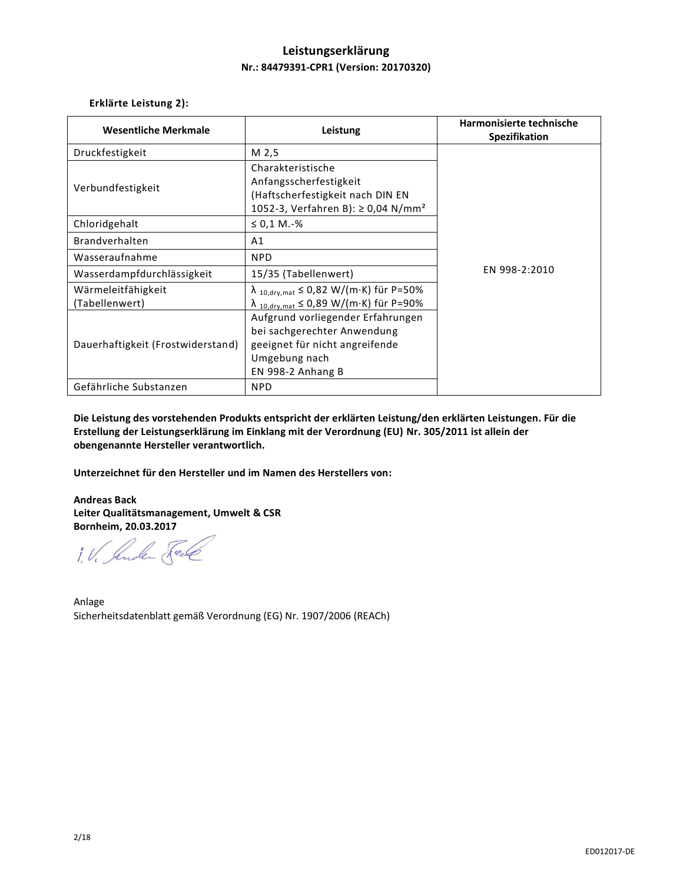## **Leistungserklärung Nr.: 84479391-CPR1 (Version: 20170320)**

**Erklärte Leistung 2):**

| <b>Wesentliche Merkmale</b>                                               | Leistung                                                                                                                                                                                                           | Harmonisierte technische<br>Spezifikation |
|---------------------------------------------------------------------------|--------------------------------------------------------------------------------------------------------------------------------------------------------------------------------------------------------------------|-------------------------------------------|
| Druckfestigkeit                                                           | M 2,5                                                                                                                                                                                                              |                                           |
| Verbundfestigkeit                                                         | Charakteristische<br>Anfangsscherfestigkeit<br>(Haftscherfestigkeit nach DIN EN<br>1052-3, Verfahren B): ≥ 0,04 N/mm <sup>2</sup>                                                                                  |                                           |
| Chloridgehalt                                                             | $\leq 0.1$ M.-%                                                                                                                                                                                                    |                                           |
| <b>Brandverhalten</b>                                                     | A1                                                                                                                                                                                                                 | EN 998-2:2010                             |
| Wasseraufnahme                                                            | <b>NPD</b>                                                                                                                                                                                                         |                                           |
| Wasserdampfdurchlässigkeit                                                | 15/35 (Tabellenwert)                                                                                                                                                                                               |                                           |
| Wärmeleitfähigkeit<br>(Tabellenwert)<br>Dauerhaftigkeit (Frostwiderstand) | $\lambda$ 10, dry, mat $\leq 0.82$ W/(m·K) für P=50%<br>$\lambda$ 10, dry, mat $\leq 0.89$ W/(m·K) für P=90%<br>Aufgrund vorliegender Erfahrungen<br>bei sachgerechter Anwendung<br>geeignet für nicht angreifende |                                           |
| Gefährliche Substanzen                                                    | Umgebung nach<br>EN 998-2 Anhang B<br><b>NPD</b>                                                                                                                                                                   |                                           |

**Die Leistung des vorstehenden Produkts entspricht der erklärten Leistung/den erklärten Leistungen. Für die Erstellung der Leistungserklärung im Einklang mit der Verordnung (EU) Nr. 305/2011 ist allein der obengenannte Hersteller verantwortlich.**

**Unterzeichnet für den Hersteller und im Namen des Herstellers von:**

**Andreas Back Leiter Qualitätsmanagement, Umwelt & CSR Bornheim, 20.03.2017**

1. V. Suder Sele

Anlage Sicherheitsdatenblatt gemäß Verordnung (EG) Nr. 1907/2006 (REACh)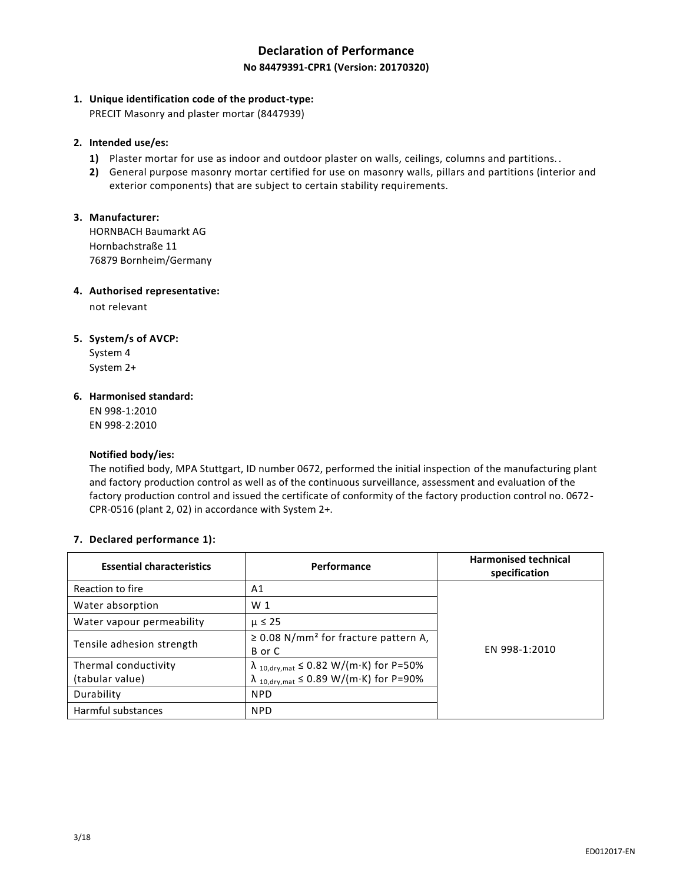# **Declaration of Performance No 84479391-CPR1 (Version: 20170320)**

## **1. Unique identification code of the product-type:**

PRECIT Masonry and plaster mortar (8447939)

## **2. Intended use/es:**

- **1)** Plaster mortar for use as indoor and outdoor plaster on walls, ceilings, columns and partitions..
- **2)** General purpose masonry mortar certified for use on masonry walls, pillars and partitions (interior and exterior components) that are subject to certain stability requirements.

## **3. Manufacturer:**

HORNBACH Baumarkt AG Hornbachstraße 11 76879 Bornheim/Germany

### **4. Authorised representative:**

not relevant

## **5. System/s of AVCP:**

System 4 System 2+

## **6. Harmonised standard:**

EN 998-1:2010 EN 998-2:2010

### **Notified body/ies:**

The notified body, MPA Stuttgart, ID number 0672, performed the initial inspection of the manufacturing plant and factory production control as well as of the continuous surveillance, assessment and evaluation of the factory production control and issued the certificate of conformity of the factory production control no. 0672- CPR-0516 (plant 2, 02) in accordance with System 2+.

### **7. Declared performance 1):**

| <b>Essential characteristics</b>        | Performance                                                                                                  | <b>Harmonised technical</b><br>specification |
|-----------------------------------------|--------------------------------------------------------------------------------------------------------------|----------------------------------------------|
| Reaction to fire                        | A1                                                                                                           |                                              |
| Water absorption                        | W <sub>1</sub>                                                                                               |                                              |
| Water vapour permeability               | $\mu \leq 25$                                                                                                |                                              |
| Tensile adhesion strength               | $\geq$ 0.08 N/mm <sup>2</sup> for fracture pattern A,<br>B or C                                              | EN 998-1:2010                                |
| Thermal conductivity<br>(tabular value) | $\lambda$ 10, dry, mat $\leq$ 0.82 W/(m·K) for P=50%<br>$\lambda$ 10, dry, mat $\leq$ 0.89 W/(m·K) for P=90% |                                              |
| Durability                              | <b>NPD</b>                                                                                                   |                                              |
| Harmful substances                      | <b>NPD</b>                                                                                                   |                                              |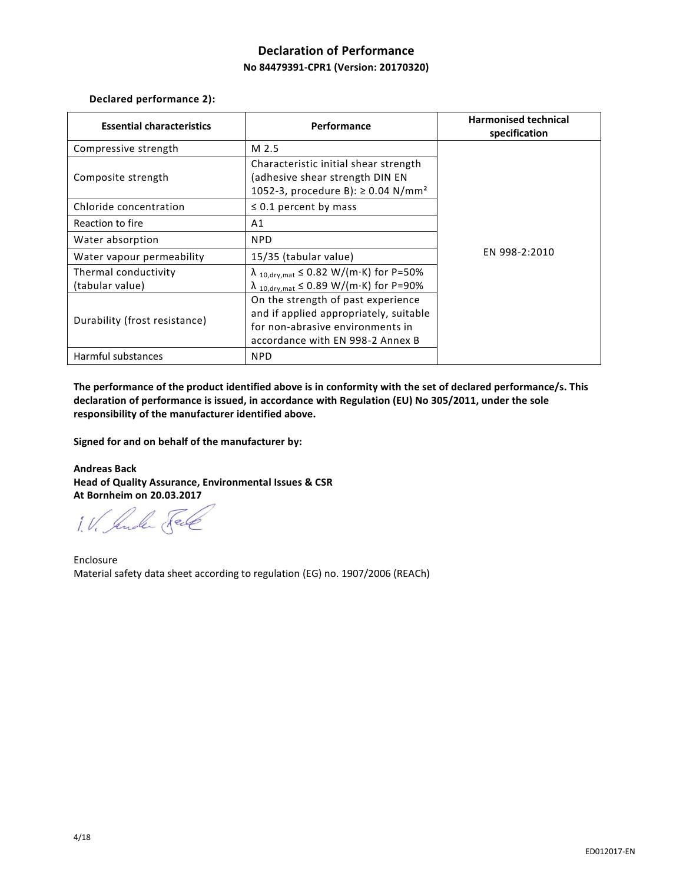# **Declaration of Performance No 84479391-CPR1 (Version: 20170320)**

**Declared performance 2):**

| <b>Essential characteristics</b>        | Performance                                                                                                                                          | <b>Harmonised technical</b><br>specification |
|-----------------------------------------|------------------------------------------------------------------------------------------------------------------------------------------------------|----------------------------------------------|
| Compressive strength                    | M 2.5                                                                                                                                                |                                              |
| Composite strength                      | Characteristic initial shear strength<br>(adhesive shear strength DIN EN<br>1052-3, procedure B): ≥ 0.04 N/mm <sup>2</sup>                           |                                              |
| Chloride concentration                  | $\leq$ 0.1 percent by mass                                                                                                                           |                                              |
| Reaction to fire                        | A1                                                                                                                                                   | EN 998-2:2010                                |
| Water absorption                        | <b>NPD</b>                                                                                                                                           |                                              |
| Water vapour permeability               | 15/35 (tabular value)                                                                                                                                |                                              |
| Thermal conductivity<br>(tabular value) | $\lambda$ 10, dry, mat $\leq$ 0.82 W/(m·K) for P=50%<br>$\lambda$ 10, dry, mat $\leq$ 0.89 W/(m·K) for P=90%                                         |                                              |
| Durability (frost resistance)           | On the strength of past experience<br>and if applied appropriately, suitable<br>for non-abrasive environments in<br>accordance with EN 998-2 Annex B |                                              |
| Harmful substances                      | <b>NPD</b>                                                                                                                                           |                                              |

**The performance of the product identified above is in conformity with the set of declared performance/s. This declaration of performance is issued, in accordance with Regulation (EU) No 305/2011, under the sole responsibility of the manufacturer identified above.**

**Signed for and on behalf of the manufacturer by:**

**Andreas Back Head of Quality Assurance, Environmental Issues & CSR At Bornheim on 20.03.2017**

1. V. Suder Fele

Enclosure Material safety data sheet according to regulation (EG) no. 1907/2006 (REACh)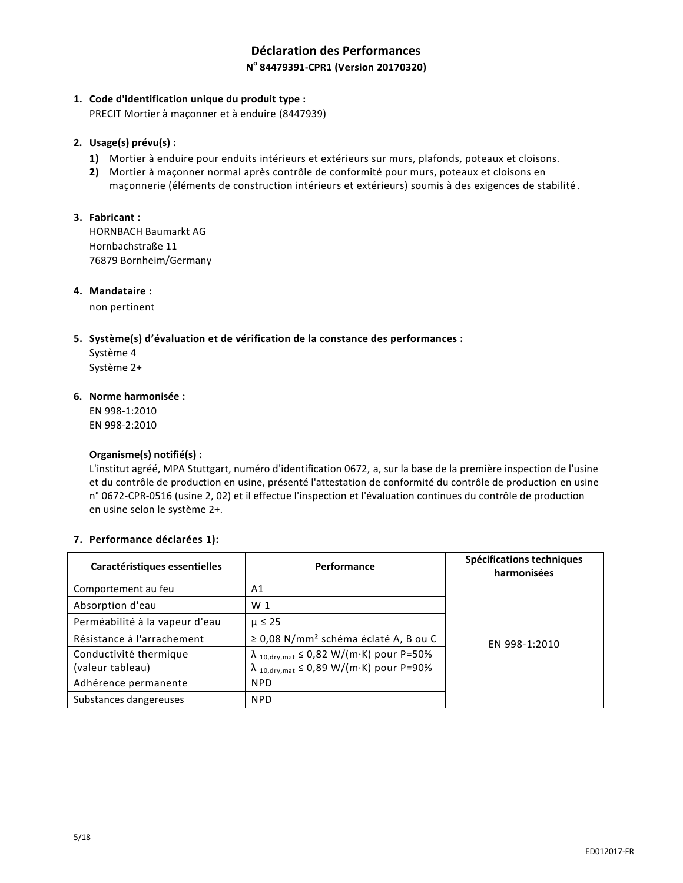# **Déclaration des Performances N o 84479391-CPR1 (Version 20170320)**

## **1. Code d'identification unique du produit type :**

PRECIT Mortier à maçonner et à enduire (8447939)

### **2. Usage(s) prévu(s) :**

- **1)** Mortier à enduire pour enduits intérieurs et extérieurs sur murs, plafonds, poteaux et cloisons.
- **2)** Mortier à maçonner normal après contrôle de conformité pour murs, poteaux et cloisons en maçonnerie (éléments de construction intérieurs et extérieurs) soumis à des exigences de stabilité .

## **3. Fabricant :**

HORNBACH Baumarkt AG Hornbachstraße 11 76879 Bornheim/Germany

### **4. Mandataire :**

non pertinent

## **5. Système(s) d'évaluation et de vérification de la constance des performances :**

Système 4 Système 2+

### **6. Norme harmonisée :**

EN 998-1:2010 EN 998-2:2010

### **Organisme(s) notifié(s) :**

L'institut agréé, MPA Stuttgart, numéro d'identification 0672, a, sur la base de la première inspection de l'usine et du contrôle de production en usine, présenté l'attestation de conformité du contrôle de production en usine n° 0672-CPR-0516 (usine 2, 02) et il effectue l'inspection et l'évaluation continues du contrôle de production en usine selon le système 2+.

### **7. Performance déclarées 1):**

| Caractéristiques essentielles              | Performance                                                                                                    | Spécifications techniques<br>harmonisées |
|--------------------------------------------|----------------------------------------------------------------------------------------------------------------|------------------------------------------|
| Comportement au feu                        | A1                                                                                                             |                                          |
| Absorption d'eau                           | W <sub>1</sub>                                                                                                 |                                          |
| Perméabilité à la vapeur d'eau             | $\mu \leq 25$                                                                                                  | EN 998-1:2010                            |
| Résistance à l'arrachement                 | $\geq$ 0,08 N/mm <sup>2</sup> schéma éclaté A, B ou C                                                          |                                          |
| Conductivité thermique<br>(valeur tableau) | $\lambda$ 10, dry, mat $\leq 0.82$ W/(m·K) pour P=50%<br>$\lambda$ 10, dry, mat $\leq 0.89$ W/(m·K) pour P=90% |                                          |
| Adhérence permanente                       | <b>NPD</b>                                                                                                     |                                          |
| Substances dangereuses                     | <b>NPD</b>                                                                                                     |                                          |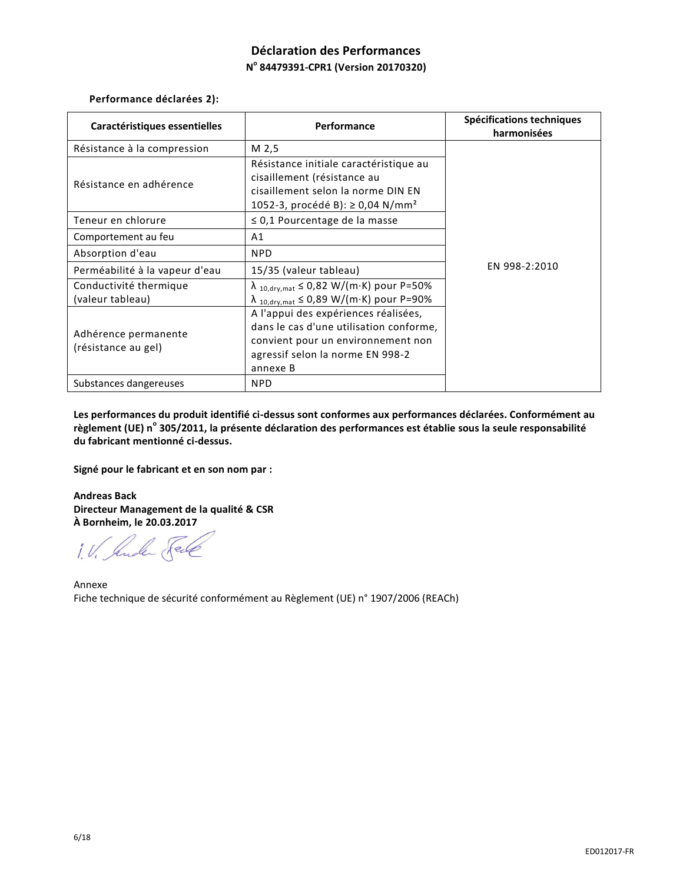# **Déclaration des Performances N o 84479391-CPR1 (Version 20170320)**

**Performance déclarées 2):**

| Caractéristiques essentielles               | Performance                                                                                                                                                           | Spécifications techniques<br>harmonisées |
|---------------------------------------------|-----------------------------------------------------------------------------------------------------------------------------------------------------------------------|------------------------------------------|
| Résistance à la compression                 | M 2,5                                                                                                                                                                 |                                          |
| Résistance en adhérence                     | Résistance initiale caractéristique au<br>cisaillement (résistance au<br>cisaillement selon la norme DIN EN<br>1052-3, procédé B): ≥ 0,04 N/mm <sup>2</sup>           |                                          |
| Teneur en chlorure                          | $\leq$ 0,1 Pourcentage de la masse                                                                                                                                    |                                          |
| Comportement au feu                         | A1                                                                                                                                                                    |                                          |
| Absorption d'eau                            | <b>NPD</b>                                                                                                                                                            |                                          |
| Perméabilité à la vapeur d'eau              | 15/35 (valeur tableau)                                                                                                                                                | EN 998-2:2010                            |
| Conductivité thermique<br>(valeur tableau)  | $\lambda$ 10, dry, mat $\leq 0.82$ W/(m·K) pour P=50%<br>$\lambda$ 10, dry, mat $\leq$ 0,89 W/(m·K) pour P=90%                                                        |                                          |
| Adhérence permanente<br>(résistance au gel) | A l'appui des expériences réalisées,<br>dans le cas d'une utilisation conforme,<br>convient pour un environnement non<br>agressif selon la norme EN 998-2<br>annexe B |                                          |
| Substances dangereuses                      | <b>NPD</b>                                                                                                                                                            |                                          |

**Les performances du produit identifié ci-dessus sont conformes aux performances déclarées. Conformément au règlement (UE) n<sup>o</sup> 305/2011, la présente déclaration des performances est établie sous la seule responsabilité du fabricant mentionné ci-dessus.**

**Signé pour le fabricant et en son nom par :**

**Andreas Back Directeur Management de la qualité & CSR À Bornheim, le 20.03.2017**

1. V. Suder Fele

Annexe Fiche technique de sécurité conformément au Règlement (UE) n° 1907/2006 (REACh)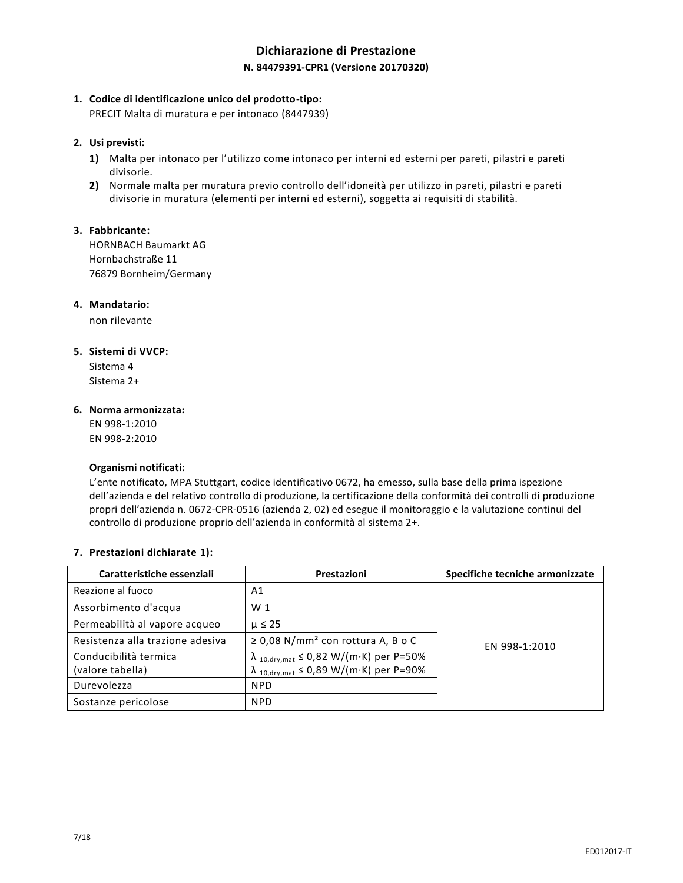# **Dichiarazione di Prestazione N. 84479391-CPR1 (Versione 20170320)**

## **1. Codice di identificazione unico del prodotto-tipo:**

PRECIT Malta di muratura e per intonaco (8447939)

## **2. Usi previsti:**

- **1)** Malta per intonaco per l'utilizzo come intonaco per interni ed esterni per pareti, pilastri e pareti divisorie.
- **2)** Normale malta per muratura previo controllo dell'idoneità per utilizzo in pareti, pilastri e pareti divisorie in muratura (elementi per interni ed esterni), soggetta ai requisiti di stabilità.

## **3. Fabbricante:**

HORNBACH Baumarkt AG Hornbachstraße 11 76879 Bornheim/Germany

## **4. Mandatario:**

non rilevante

## **5. Sistemi di VVCP:**

Sistema 4 Sistema 2+

### **6. Norma armonizzata:**

EN 998-1:2010 EN 998-2:2010

### **Organismi notificati:**

L'ente notificato, MPA Stuttgart, codice identificativo 0672, ha emesso, sulla base della prima ispezione dell'azienda e del relativo controllo di produzione, la certificazione della conformità dei controlli di produzione propri dell'azienda n. 0672-CPR-0516 (azienda 2, 02) ed esegue il monitoraggio e la valutazione continui del controllo di produzione proprio dell'azienda in conformità al sistema 2+.

## **7. Prestazioni dichiarate 1):**

| Caratteristiche essenziali                | Prestazioni                                                                                                  | Specifiche tecniche armonizzate |
|-------------------------------------------|--------------------------------------------------------------------------------------------------------------|---------------------------------|
| Reazione al fuoco                         | A1                                                                                                           |                                 |
| Assorbimento d'acqua                      | W <sub>1</sub>                                                                                               |                                 |
| Permeabilità al vapore acqueo             | $\mu \leq 25$                                                                                                |                                 |
| Resistenza alla trazione adesiva          | $\geq$ 0,08 N/mm <sup>2</sup> con rottura A, B o C                                                           | EN 998-1:2010                   |
| Conducibilità termica<br>(valore tabella) | $\lambda$ 10, dry, mat $\leq 0.82$ W/(m·K) per P=50%<br>$\lambda$ 10, dry, mat $\leq$ 0,89 W/(m·K) per P=90% |                                 |
| Durevolezza                               | <b>NPD</b>                                                                                                   |                                 |
| Sostanze pericolose                       | <b>NPD</b>                                                                                                   |                                 |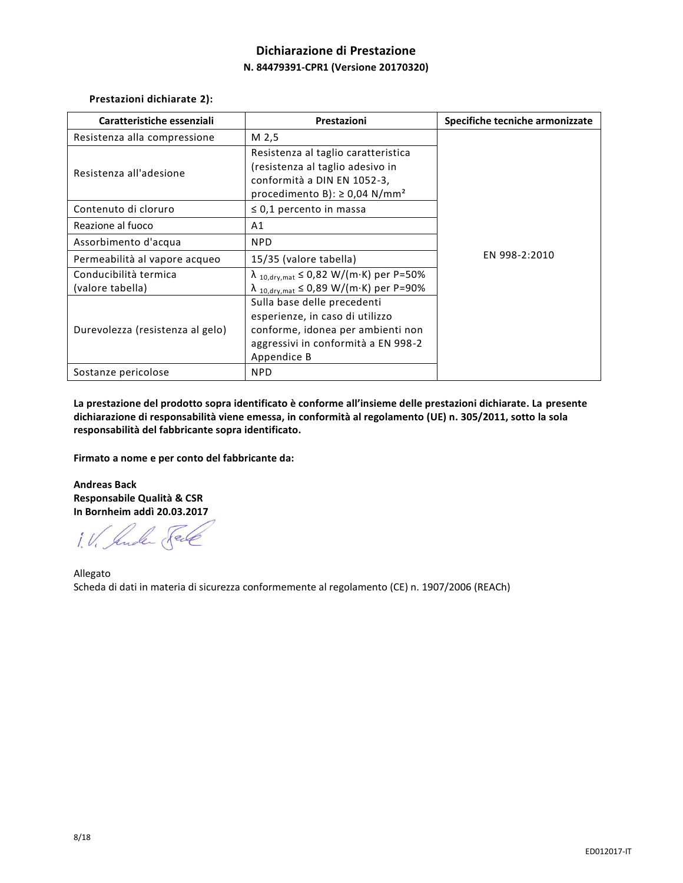# **Dichiarazione di Prestazione N. 84479391-CPR1 (Versione 20170320)**

**Prestazioni dichiarate 2):**

| Caratteristiche essenziali                | Prestazioni                                                                                                                                               | Specifiche tecniche armonizzate |
|-------------------------------------------|-----------------------------------------------------------------------------------------------------------------------------------------------------------|---------------------------------|
| Resistenza alla compressione              | M 2,5                                                                                                                                                     |                                 |
| Resistenza all'adesione                   | Resistenza al taglio caratteristica<br>(resistenza al taglio adesivo in<br>conformità a DIN EN 1052-3,<br>procedimento B): $\geq$ 0,04 N/mm <sup>2</sup>  |                                 |
| Contenuto di cloruro                      | $\leq$ 0,1 percento in massa                                                                                                                              |                                 |
| Reazione al fuoco                         | Α1                                                                                                                                                        |                                 |
| Assorbimento d'acqua                      | <b>NPD</b>                                                                                                                                                | EN 998-2:2010                   |
| Permeabilità al vapore acqueo             | 15/35 (valore tabella)                                                                                                                                    |                                 |
| Conducibilità termica<br>(valore tabella) | $\lambda$ 10, dry, mat $\leq 0.82$ W/(m·K) per P=50%<br>$\lambda$ 10, dry, mat $\leq 0.89$ W/(m·K) per P=90%                                              |                                 |
| Durevolezza (resistenza al gelo)          | Sulla base delle precedenti<br>esperienze, in caso di utilizzo<br>conforme, idonea per ambienti non<br>aggressivi in conformità a EN 998-2<br>Appendice B |                                 |
| Sostanze pericolose                       | <b>NPD</b>                                                                                                                                                |                                 |

**La prestazione del prodotto sopra identificato è conforme all'insieme delle prestazioni dichiarate. La presente dichiarazione di responsabilità viene emessa, in conformità al regolamento (UE) n. 305/2011, sotto la sola responsabilità del fabbricante sopra identificato.**

**Firmato a nome e per conto del fabbricante da:**

**Andreas Back Responsabile Qualità & CSR In Bornheim addì 20.03.2017**

1. V. Ander Fell

Allegato Scheda di dati in materia di sicurezza conformemente al regolamento (CE) n. 1907/2006 (REACh)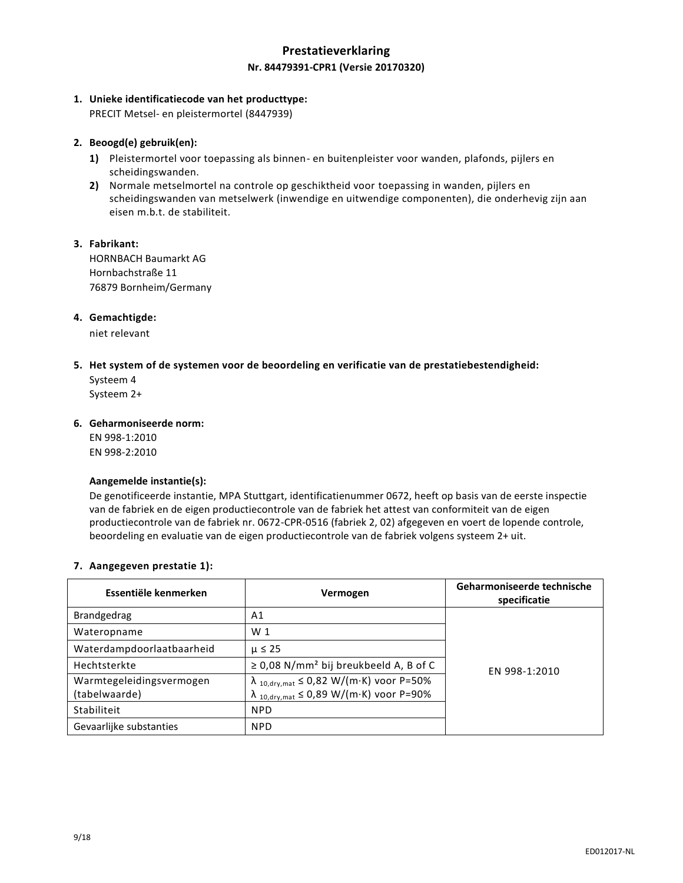## **Prestatieverklaring Nr. 84479391-CPR1 (Versie 20170320)**

### **1. Unieke identificatiecode van het producttype:**

PRECIT Metsel- en pleistermortel (8447939)

### **2. Beoogd(e) gebruik(en):**

- **1)** Pleistermortel voor toepassing als binnen- en buitenpleister voor wanden, plafonds, pijlers en scheidingswanden.
- **2)** Normale metselmortel na controle op geschiktheid voor toepassing in wanden, pijlers en scheidingswanden van metselwerk (inwendige en uitwendige componenten), die onderhevig zijn aan eisen m.b.t. de stabiliteit.

### **3. Fabrikant:**

HORNBACH Baumarkt AG Hornbachstraße 11 76879 Bornheim/Germany

### **4. Gemachtigde:**

niet relevant

### **5. Het system of de systemen voor de beoordeling en verificatie van de prestatiebestendigheid:**

Systeem 4 Systeem 2+

### **6. Geharmoniseerde norm:**

EN 998-1:2010 EN 998-2:2010

#### **Aangemelde instantie(s):**

De genotificeerde instantie, MPA Stuttgart, identificatienummer 0672, heeft op basis van de eerste inspectie van de fabriek en de eigen productiecontrole van de fabriek het attest van conformiteit van de eigen productiecontrole van de fabriek nr. 0672-CPR-0516 (fabriek 2, 02) afgegeven en voert de lopende controle, beoordeling en evaluatie van de eigen productiecontrole van de fabriek volgens systeem 2+ uit.

### **7. Aangegeven prestatie 1):**

| Essentiële kenmerken                      | Vermogen                                                                                                       | Geharmoniseerde technische<br>specificatie |
|-------------------------------------------|----------------------------------------------------------------------------------------------------------------|--------------------------------------------|
| <b>Brandgedrag</b>                        | A1                                                                                                             |                                            |
| Wateropname                               | W <sub>1</sub>                                                                                                 |                                            |
| Waterdampdoorlaatbaarheid                 | $\mu \leq 25$                                                                                                  | EN 998-1:2010                              |
| Hechtsterkte                              | $\geq$ 0,08 N/mm <sup>2</sup> bij breukbeeld A, B of C                                                         |                                            |
| Warmtegeleidingsvermogen<br>(tabelwaarde) | $\lambda$ 10, dry, mat $\leq 0.82$ W/(m·K) voor P=50%<br>$\lambda$ 10, dry, mat $\leq 0.89$ W/(m·K) voor P=90% |                                            |
| Stabiliteit                               | <b>NPD</b>                                                                                                     |                                            |
| Gevaarlijke substanties                   | <b>NPD</b>                                                                                                     |                                            |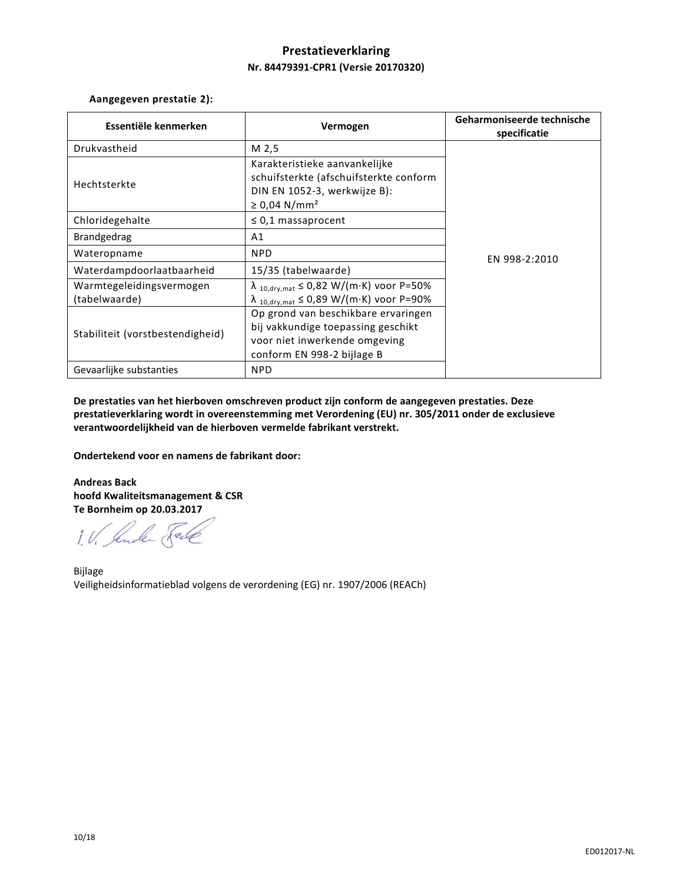## **Prestatieverklaring Nr. 84479391-CPR1 (Versie 20170320)**

**Aangegeven prestatie 2):**

| Essentiële kenmerken                      | Vermogen                                                                                                                                 | Geharmoniseerde technische<br>specificatie |
|-------------------------------------------|------------------------------------------------------------------------------------------------------------------------------------------|--------------------------------------------|
| Drukvastheid                              | M <sub>2,5</sub>                                                                                                                         |                                            |
| Hechtsterkte                              | Karakteristieke aanvankelijke<br>schuifsterkte (afschuifsterkte conform<br>DIN EN 1052-3, werkwijze B):<br>$\geq 0.04$ N/mm <sup>2</sup> |                                            |
| Chloridegehalte                           | $\leq$ 0,1 massaprocent                                                                                                                  | EN 998-2:2010                              |
| <b>Brandgedrag</b>                        | A1                                                                                                                                       |                                            |
| Wateropname                               | <b>NPD</b>                                                                                                                               |                                            |
| Waterdampdoorlaatbaarheid                 | 15/35 (tabelwaarde)                                                                                                                      |                                            |
| Warmtegeleidingsvermogen<br>(tabelwaarde) | $\lambda$ 10, dry, mat $\leq 0.82$ W/(m·K) voor P=50%<br>$\lambda$ 10, dry, mat $\leq 0.89$ W/(m·K) voor P=90%                           |                                            |
| Stabiliteit (vorstbestendigheid)          | Op grond van beschikbare ervaringen<br>bij vakkundige toepassing geschikt<br>voor niet inwerkende omgeving<br>conform EN 998-2 bijlage B |                                            |
| Gevaarlijke substanties                   | <b>NPD</b>                                                                                                                               |                                            |

**De prestaties van het hierboven omschreven product zijn conform de aangegeven prestaties. Deze prestatieverklaring wordt in overeenstemming met Verordening (EU) nr. 305/2011 onder de exclusieve verantwoordelijkheid van de hierboven vermelde fabrikant verstrekt.**

**Ondertekend voor en namens de fabrikant door:**

**Andreas Back hoofd Kwaliteitsmanagement & CSR Te Bornheim op 20.03.2017**

1. V. Suder Fell

Bijlage Veiligheidsinformatieblad volgens de verordening (EG) nr. 1907/2006 (REACh)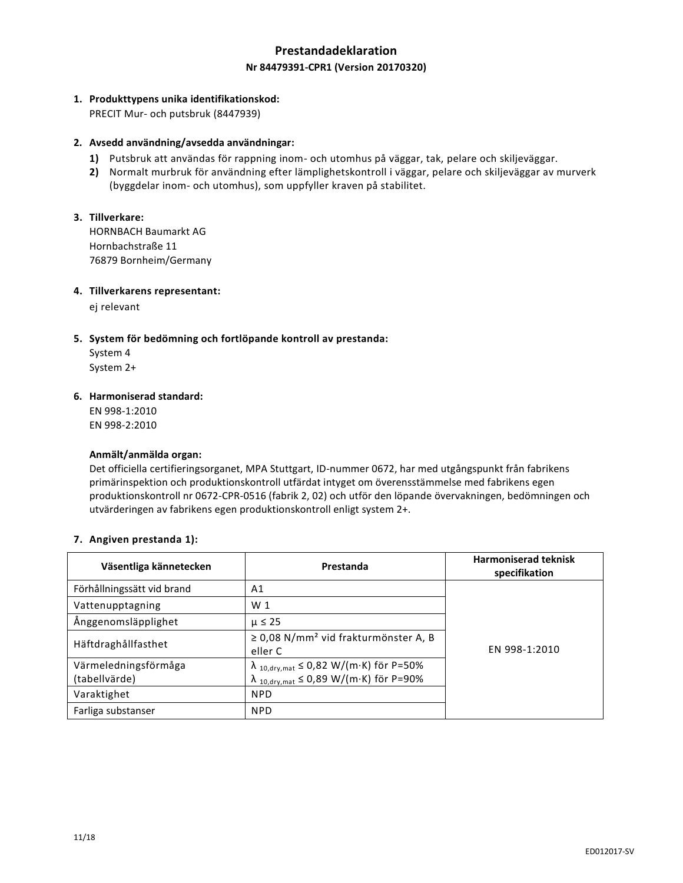## **Prestandadeklaration Nr 84479391-CPR1 (Version 20170320)**

## **1. Produkttypens unika identifikationskod:**

PRECIT Mur- och putsbruk (8447939)

### **2. Avsedd användning/avsedda användningar:**

- **1)** Putsbruk att användas för rappning inom- och utomhus på väggar, tak, pelare och skiljeväggar.
- **2)** Normalt murbruk för användning efter lämplighetskontroll i väggar, pelare och skiljeväggar av murverk (byggdelar inom- och utomhus), som uppfyller kraven på stabilitet.

### **3. Tillverkare:**

HORNBACH Baumarkt AG Hornbachstraße 11 76879 Bornheim/Germany

### **4. Tillverkarens representant:**

ej relevant

### **5. System för bedömning och fortlöpande kontroll av prestanda:**

System 4 System 2+

### **6. Harmoniserad standard:**

EN 998-1:2010 EN 998-2:2010

#### **Anmält/anmälda organ:**

Det officiella certifieringsorganet, MPA Stuttgart, ID-nummer 0672, har med utgångspunkt från fabrikens primärinspektion och produktionskontroll utfärdat intyget om överensstämmelse med fabrikens egen produktionskontroll nr 0672-CPR-0516 (fabrik 2, 02) och utför den löpande övervakningen, bedömningen och utvärderingen av fabrikens egen produktionskontroll enligt system 2+.

### **7. Angiven prestanda 1):**

| Väsentliga kännetecken                | Prestanda                                                                                                    | <b>Harmoniserad teknisk</b><br>specifikation |
|---------------------------------------|--------------------------------------------------------------------------------------------------------------|----------------------------------------------|
| Förhållningssätt vid brand            | A1                                                                                                           |                                              |
| Vattenupptagning                      | W <sub>1</sub>                                                                                               |                                              |
| Ånggenomsläpplighet                   | $\mu \leq 25$                                                                                                |                                              |
| Häftdraghållfasthet                   | $\geq$ 0,08 N/mm <sup>2</sup> vid frakturmönster A, B<br>eller C                                             | EN 998-1:2010                                |
| Värmeledningsförmåga<br>(tabellvärde) | $\lambda$ 10, dry, mat $\leq 0.82$ W/(m·K) för P=50%<br>$\lambda$ 10, dry, mat $\leq 0.89$ W/(m·K) för P=90% |                                              |
| Varaktighet                           | <b>NPD</b>                                                                                                   |                                              |
| Farliga substanser                    | <b>NPD</b>                                                                                                   |                                              |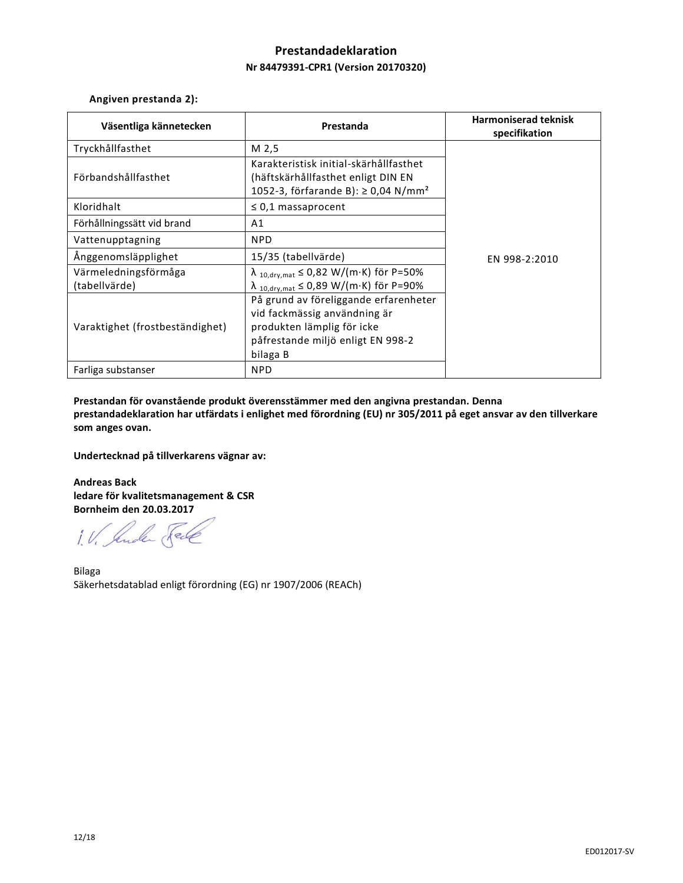# **Prestandadeklaration Nr 84479391-CPR1 (Version 20170320)**

**Angiven prestanda 2):**

| Väsentliga kännetecken                | Prestanda                                                                                                                                            | <b>Harmoniserad teknisk</b><br>specifikation |
|---------------------------------------|------------------------------------------------------------------------------------------------------------------------------------------------------|----------------------------------------------|
| Tryckhållfasthet                      | M 2,5                                                                                                                                                |                                              |
| Förbandshållfasthet                   | Karakteristisk initial-skärhållfasthet<br>(häftskärhållfasthet enligt DIN EN<br>1052-3, förfarande B): ≥ 0,04 N/mm <sup>2</sup>                      |                                              |
| Kloridhalt                            | $\leq$ 0,1 massaprocent                                                                                                                              |                                              |
| Förhållningssätt vid brand            | A1                                                                                                                                                   |                                              |
| Vattenupptagning                      | <b>NPD</b>                                                                                                                                           |                                              |
| Ånggenomsläpplighet                   | 15/35 (tabellvärde)                                                                                                                                  | EN 998-2:2010                                |
| Värmeledningsförmåga<br>(tabellvärde) | $\lambda$ 10, dry, mat $\leq 0.82$ W/(m·K) för P=50%<br>$\lambda$ 10, dry, mat $\leq 0.89$ W/(m·K) för P=90%                                         |                                              |
| Varaktighet (frostbeständighet)       | På grund av föreliggande erfarenheter<br>vid fackmässig användning är<br>produkten lämplig för icke<br>påfrestande miljö enligt EN 998-2<br>bilaga B |                                              |
| Farliga substanser                    | <b>NPD</b>                                                                                                                                           |                                              |

**Prestandan för ovanstående produkt överensstämmer med den angivna prestandan. Denna prestandadeklaration har utfärdats i enlighet med förordning (EU) nr 305/2011 på eget ansvar av den tillverkare som anges ovan.**

**Undertecknad på tillverkarens vägnar av:**

**Andreas Back ledare för kvalitetsmanagement & CSR Bornheim den 20.03.2017**

1. V. Ander Sel

Bilaga Säkerhetsdatablad enligt förordning (EG) nr 1907/2006 (REACh)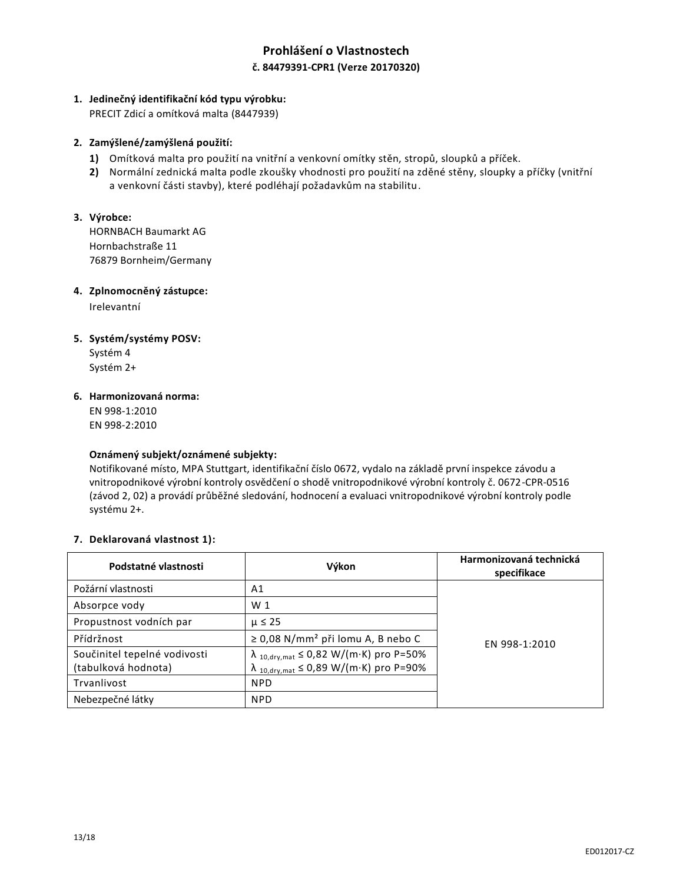# **Prohlášení o Vlastnostech č. 84479391-CPR1 (Verze 20170320)**

## **1. Jedinečný identifikační kód typu výrobku:**

PRECIT Zdicí a omítková malta (8447939)

### **2. Zamýšlené/zamýšlená použití:**

- **1)** Omítková malta pro použití na vnitřní a venkovní omítky stěn, stropů, sloupků a příček.
- **2)** Normální zednická malta podle zkoušky vhodnosti pro použití na zděné stěny, sloupky a příčky (vnitřní a venkovní části stavby), které podléhají požadavkům na stabilitu.

## **3. Výrobce:**

HORNBACH Baumarkt AG Hornbachstraße 11 76879 Bornheim/Germany

### **4. Zplnomocněný zástupce:**

Irelevantní

## **5. Systém/systémy POSV:**

Systém 4 Systém 2+

### **6. Harmonizovaná norma:**

EN 998-1:2010 EN 998-2:2010

### **Oznámený subjekt/oznámené subjekty:**

Notifikované místo, MPA Stuttgart, identifikační číslo 0672, vydalo na základě první inspekce závodu a vnitropodnikové výrobní kontroly osvědčení o shodě vnitropodnikové výrobní kontroly č. 0672-CPR-0516 (závod 2, 02) a provádí průběžné sledování, hodnocení a evaluaci vnitropodnikové výrobní kontroly podle systému 2+.

### **7. Deklarovaná vlastnost 1):**

| Podstatné vlastnosti         | Výkon                                                | Harmonizovaná technická<br>specifikace |
|------------------------------|------------------------------------------------------|----------------------------------------|
| Požární vlastnosti           | A1                                                   | EN 998-1:2010                          |
| Absorpce vody                | W <sub>1</sub>                                       |                                        |
| Propustnost vodních par      | $\mu \leq 25$                                        |                                        |
| Přídržnost                   | $\geq$ 0,08 N/mm <sup>2</sup> při lomu A, B nebo C   |                                        |
| Součinitel tepelné vodivosti | $\lambda$ 10, dry, mat $\leq 0.82$ W/(m·K) pro P=50% |                                        |
| (tabulková hodnota)          | $\lambda$ 10, dry, mat $\leq 0.89$ W/(m·K) pro P=90% |                                        |
| Trvanlivost                  | <b>NPD</b>                                           |                                        |
| Nebezpečné látky             | <b>NPD</b>                                           |                                        |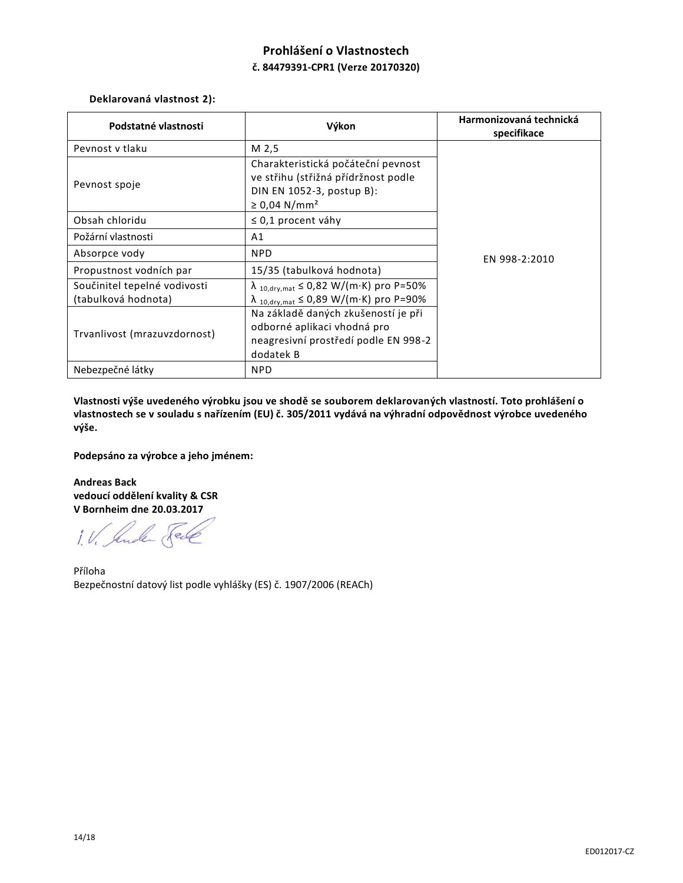# **Prohlášení o Vlastnostech č. 84479391-CPR1 (Verze 20170320)**

## **Deklarovaná vlastnost 2):**

| Podstatné vlastnosti                                                                | Výkon                                                                                                                                                                                                                                   | Harmonizovaná technická<br>specifikace |
|-------------------------------------------------------------------------------------|-----------------------------------------------------------------------------------------------------------------------------------------------------------------------------------------------------------------------------------------|----------------------------------------|
| Peynost y tlaku                                                                     | M 2,5                                                                                                                                                                                                                                   | EN 998-2:2010                          |
| Pevnost spoje                                                                       | Charakteristická počáteční pevnost<br>ve střihu (střižná přídržnost podle<br>DIN EN 1052-3, postup B):<br>≥ 0,04 N/mm <sup>2</sup>                                                                                                      |                                        |
| Obsah chloridu                                                                      | $\leq$ 0,1 procent váhy                                                                                                                                                                                                                 |                                        |
| Požární vlastnosti                                                                  | A1                                                                                                                                                                                                                                      |                                        |
| Absorpce vody                                                                       | <b>NPD</b>                                                                                                                                                                                                                              |                                        |
| Propustnost vodních par                                                             | 15/35 (tabulková hodnota)                                                                                                                                                                                                               |                                        |
| Součinitel tepelné vodivosti<br>(tabulková hodnota)<br>Trvanlivost (mrazuvzdornost) | $\lambda$ 10, dry, mat $\leq 0.82$ W/(m·K) pro P=50%<br>$\lambda$ 10, dry, mat $\leq$ 0,89 W/(m·K) pro P=90%<br>Na základě daných zkušeností je při<br>odborné aplikaci vhodná pro<br>neagresivní prostředí podle EN 998-2<br>dodatek B |                                        |
| Nebezpečné látky                                                                    | <b>NPD</b>                                                                                                                                                                                                                              |                                        |

**Vlastnosti výše uvedeného výrobku jsou ve shodě se souborem deklarovaných vlastností. Toto prohlášení o vlastnostech se v souladu s nařízením (EU) č. 305/2011 vydává na výhradní odpovědnost výrobce uvedeného výše.**

**Podepsáno za výrobce a jeho jménem:**

**Andreas Back vedoucí oddělení kvality & CSR V Bornheim dne 20.03.2017**

1. V. Ander Sel

Příloha Bezpečnostní datový list podle vyhlášky (ES) č. 1907/2006 (REACh)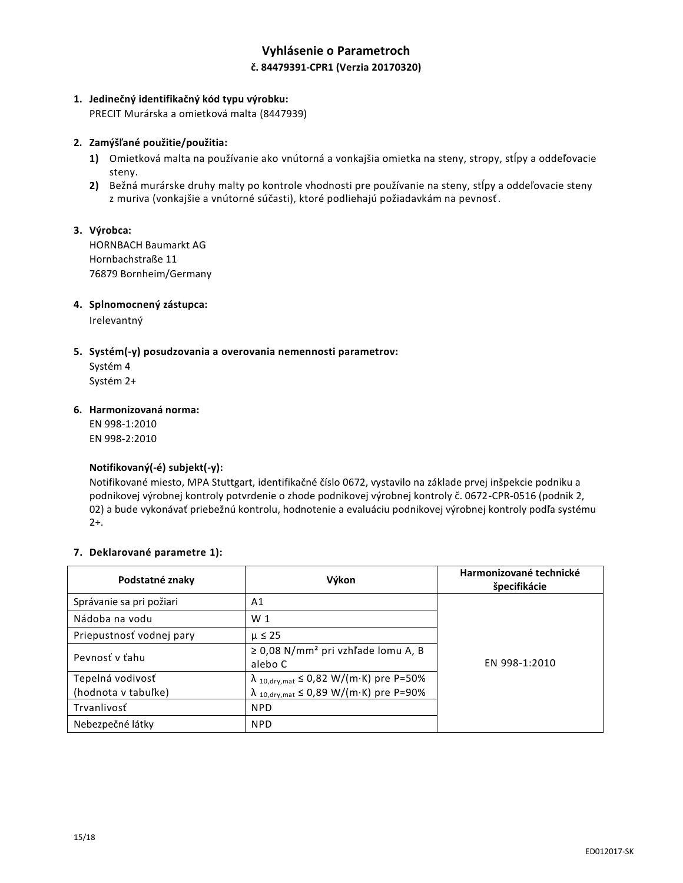## **Vyhlásenie o Parametroch č. 84479391-CPR1 (Verzia 20170320)**

### **1. Jedinečný identifikačný kód typu výrobku:**

PRECIT Murárska a omietková malta (8447939)

### **2. Zamýšľané použitie/použitia:**

- **1)** Omietková malta na používanie ako vnútorná a vonkajšia omietka na steny, stropy, stĺpy a oddeľovacie steny.
- **2)** Bežná murárske druhy malty po kontrole vhodnosti pre používanie na steny, stĺpy a oddeľovacie steny z muriva (vonkajšie a vnútorné súčasti), ktoré podliehajú požiadavkám na pevnosť.

## **3. Výrobca:**

HORNBACH Baumarkt AG Hornbachstraße 11 76879 Bornheim/Germany

### **4. Splnomocnený zástupca:**

Irelevantný

### **5. Systém(-y) posudzovania a overovania nemennosti parametrov:**

Systém 4 Systém 2+

#### **6. Harmonizovaná norma:**

EN 998-1:2010 EN 998-2:2010

### **Notifikovaný(-é) subjekt(-y):**

Notifikované miesto, MPA Stuttgart, identifikačné číslo 0672, vystavilo na základe prvej inšpekcie podniku a podnikovej výrobnej kontroly potvrdenie o zhode podnikovej výrobnej kontroly č. 0672-CPR-0516 (podnik 2, 02) a bude vykonávať priebežnú kontrolu, hodnotenie a evaluáciu podnikovej výrobnej kontroly podľa systému 2+.

#### **7. Deklarované parametre 1):**

| Podstatné znaky                         | Výkon                                                                                                        | Harmonizované technické<br>špecifikácie |
|-----------------------------------------|--------------------------------------------------------------------------------------------------------------|-----------------------------------------|
| Správanie sa pri požiari                | A1                                                                                                           |                                         |
| Nádoba na vodu                          | W <sub>1</sub>                                                                                               |                                         |
| Priepustnosť vodnej pary                | $\mu \leq 25$                                                                                                |                                         |
| Pevnosť v ťahu                          | $\geq$ 0,08 N/mm <sup>2</sup> pri vzhľade lomu A, B<br>alebo C                                               | EN 998-1:2010                           |
| Tepelná vodivosť<br>(hodnota v tabuľke) | $\lambda$ 10, dry, mat $\leq$ 0,82 W/(m·K) pre P=50%<br>$\lambda$ 10, dry, mat $\leq$ 0,89 W/(m·K) pre P=90% |                                         |
| Trvanlivosť                             | <b>NPD</b>                                                                                                   |                                         |
| Nebezpečné látky                        | <b>NPD</b>                                                                                                   |                                         |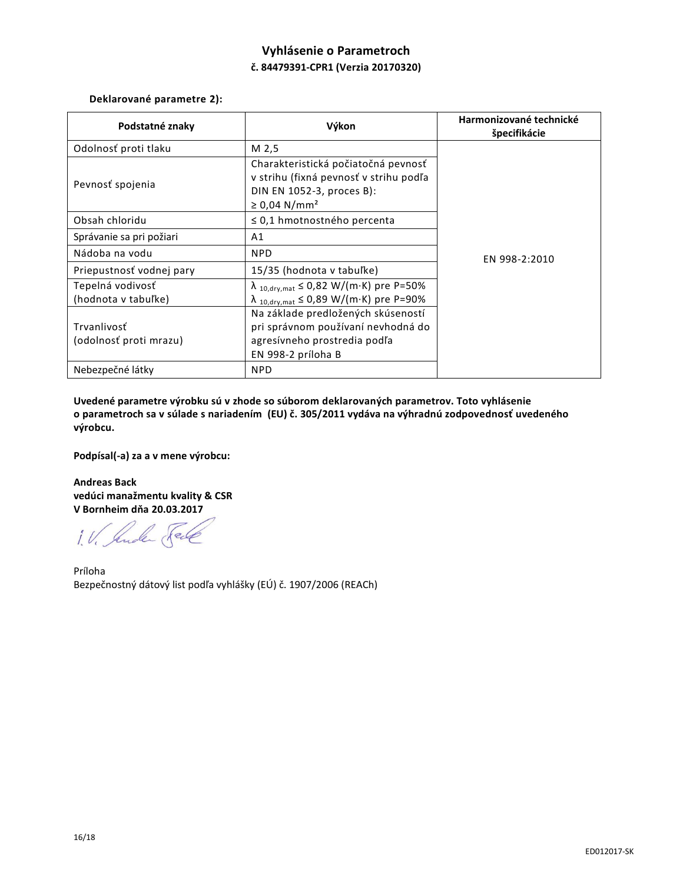# **Vyhlásenie o Parametroch č. 84479391-CPR1 (Verzia 20170320)**

## **Deklarované parametre 2):**

| Podstatné znaky                                                                  | Výkon                                                                                                                                                                                                                    | Harmonizované technické<br>špecifikácie |
|----------------------------------------------------------------------------------|--------------------------------------------------------------------------------------------------------------------------------------------------------------------------------------------------------------------------|-----------------------------------------|
| Odolnosť proti tlaku                                                             | M 2,5                                                                                                                                                                                                                    | EN 998-2:2010                           |
| Pevnosť spojenia                                                                 | Charakteristická počiatočná pevnosť<br>v strihu (fixná pevnosť v strihu podľa<br>DIN EN 1052-3, proces B):<br>$\geq 0.04$ N/mm <sup>2</sup>                                                                              |                                         |
| Obsah chloridu                                                                   | $\leq$ 0,1 hmotnostného percenta                                                                                                                                                                                         |                                         |
| Správanie sa pri požiari                                                         | A1                                                                                                                                                                                                                       |                                         |
| Nádoba na vodu                                                                   | <b>NPD</b>                                                                                                                                                                                                               |                                         |
| Priepustnosť vodnej pary                                                         | 15/35 (hodnota v tabuľke)                                                                                                                                                                                                |                                         |
| Tepelná vodivosť<br>(hodnota v tabuľke)<br>Trvanlivosť<br>(odolnosť proti mrazu) | $\lambda$ 10, dry, mat $\leq$ 0,82 W/(m·K) pre P=50%<br>$\lambda$ 10, dry, mat $\leq$ 0,89 W/(m·K) pre P=90%<br>Na základe predložených skúseností<br>pri správnom používaní nevhodná do<br>agresívneho prostredia podľa |                                         |
| Nebezpečné látky                                                                 | EN 998-2 príloha B<br><b>NPD</b>                                                                                                                                                                                         |                                         |

**Uvedené parametre výrobku sú v zhode so súborom deklarovaných parametrov. Toto vyhlásenie o parametroch sa v súlade s nariadením (EU) č. 305/2011 vydáva na výhradnú zodpovednosť uvedeného výrobcu.**

**Podpísal(-a) za a v mene výrobcu:**

**Andreas Back vedúci manažmentu kvality & CSR V Bornheim dňa 20.03.2017**

1. V. Ander Sel

Príloha Bezpečnostný dátový list podľa vyhlášky (EÚ) č. 1907/2006 (REACh)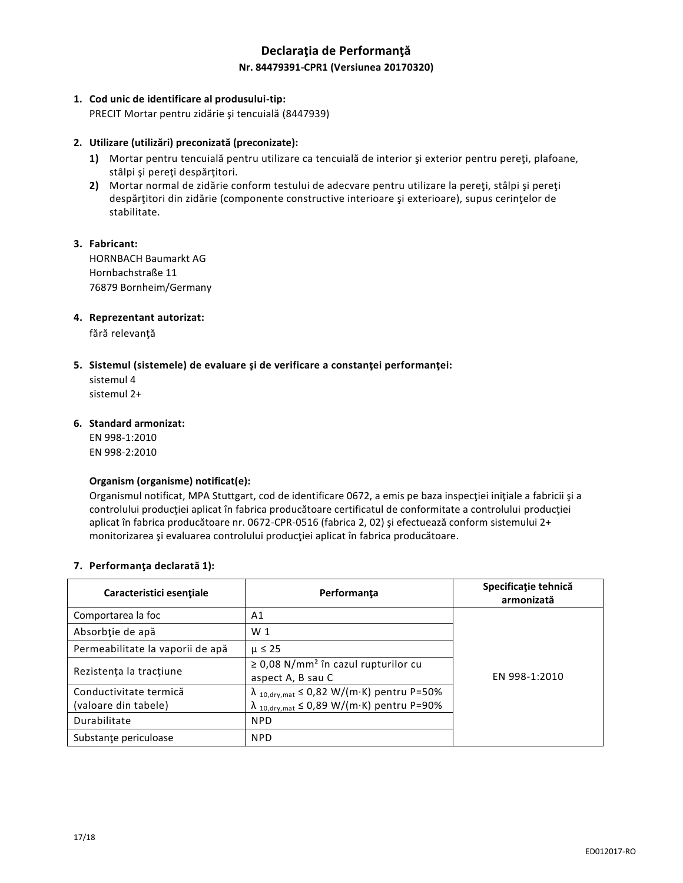## **Declaraţia de Performanţă Nr. 84479391-CPR1 (Versiunea 20170320)**

### **1. Cod unic de identificare al produsului-tip:**

PRECIT Mortar pentru zidărie şi tencuială (8447939)

### **2. Utilizare (utilizări) preconizată (preconizate):**

- **1)** Mortar pentru tencuială pentru utilizare ca tencuială de interior şi exterior pentru pereţi, plafoane, stâlpi şi pereţi despărţitori.
- **2)** Mortar normal de zidărie conform testului de adecvare pentru utilizare la pereţi, stâlpi şi pereţi despărţitori din zidărie (componente constructive interioare şi exterioare), supus cerinţelor de stabilitate.

### **3. Fabricant:**

HORNBACH Baumarkt AG Hornbachstraße 11 76879 Bornheim/Germany

### **4. Reprezentant autorizat:**

fără relevanță

### **5. Sistemul (sistemele) de evaluare şi de verificare a constanţei performanţei:**

sistemul 4 sistemul 2+

### **6. Standard armonizat:**

EN 998-1:2010 EN 998-2:2010

#### **Organism (organisme) notificat(e):**

Organismul notificat, MPA Stuttgart, cod de identificare 0672, a emis pe baza inspecţiei iniţiale a fabricii şi a controlului producţiei aplicat în fabrica producătoare certificatul de conformitate a controlului producţiei aplicat în fabrica producătoare nr. 0672-CPR-0516 (fabrica 2, 02) şi efectuează conform sistemului 2+ monitorizarea şi evaluarea controlului producţiei aplicat în fabrica producătoare.

#### **7. Performanţa declarată 1):**

| Caracteristici esențiale                       | Performanța                                                                                                                        | Specificație tehnică<br>armonizată |
|------------------------------------------------|------------------------------------------------------------------------------------------------------------------------------------|------------------------------------|
| Comportarea la foc                             | A <sub>1</sub>                                                                                                                     |                                    |
| Absorbție de apă                               | W <sub>1</sub>                                                                                                                     |                                    |
| Permeabilitate la vaporii de apă               | $\mu \leq 25$                                                                                                                      |                                    |
| Rezistența la tracțiune                        | $\geq$ 0,08 N/mm <sup>2</sup> în cazul rupturilor cu<br>aspect A, B sau C                                                          | EN 998-1:2010                      |
| Conductivitate termică<br>(valoare din tabele) | $\lambda_{10, dry, mat} \leq 0.82 \text{ W/(m·K)}$ pentru P=50%<br>$\lambda_{10, dry, mat} \leq 0.89 \text{ W/(m·K)}$ pentru P=90% |                                    |
| Durabilitate                                   | <b>NPD</b>                                                                                                                         |                                    |
| Substante periculoase                          | <b>NPD</b>                                                                                                                         |                                    |